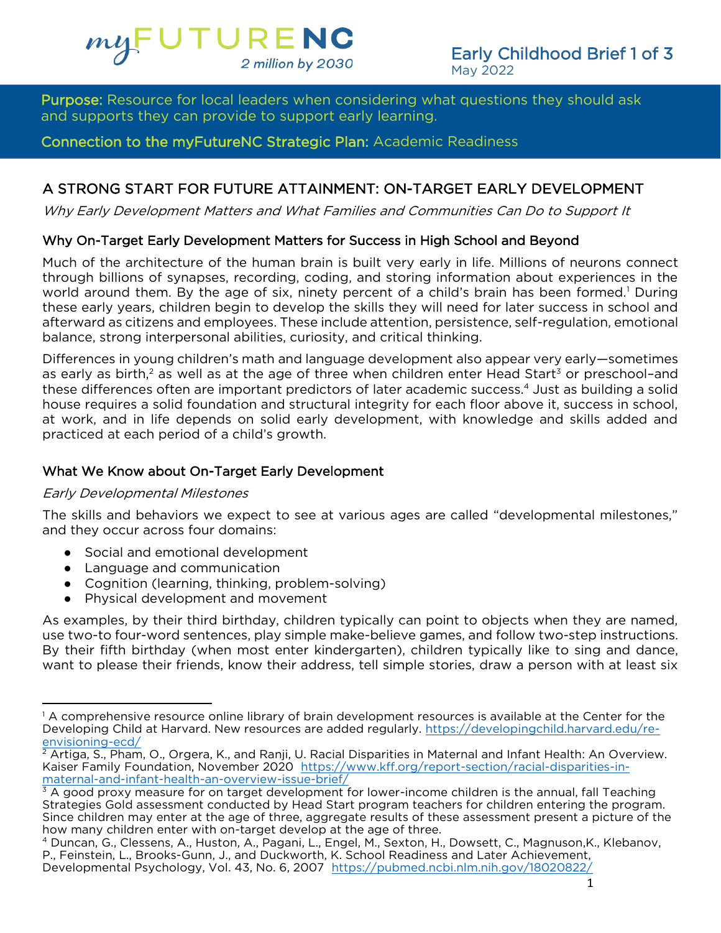

Purpose: Resource for local leaders when considering what questions they should ask.<br>and sunnorts they can provide to sunnort early learning

Connection to the myFutureNC Strategic Plan: Academic Readiness

# A STRONG START FOR FUTURE ATTAINMENT: ON-TARGET EARLY DEVELOPMENT

A STRONG START FOR FUTURE ATTAINMENT: ON-TARGET EARLY DEVELOPMENT Why Early Development Matters and What Families and Communities Can Do to Support It

Why On-Target Early Development Matters for Success in High School and Beyond<br>Much of the architecture of the human brain is built very early in life. Millions of neurons connect through billions of synapses, recording, coding, and storing information about experiences in the world around them. By the age of six, ninety percent of a child's brain has been formed.<sup>1</sup> During these early years, children begin to develop the skills they will need for later success in school and afterward as citizens and employees. These include attention, persistence, self-regulation, emotional balance, strong interpersonal abilities, curiosity, and critical thinking.

Differences in young children's math and language development also appear very early—sometimes as early as birth,<sup>2</sup> as well as at the age of three when children enter Head Start<sup>3</sup> or preschool-and these differences often are important predictors of later academic success.<sup>4</sup> Just as building a solid house requires a solid foundation and structural integrity for each floor above it, success in school, at work, and in life depends on solid early development, with knowledge and skills added and at work, and in life depends on solid can, we coeplicate, with knowledge and skills and skills. practiced at each period of a child's growth.

#### What We Know about On-Target Early Development What We Know about On-Target Early Development

#### Early Developmental Milestones

The skills and behaviors we expect to see at various ages are called "developmental milestones,"<br>and they occur across four domains: and they occur across four domains:

- Social and emotional development
- Language and communication
- Cognition (learning, thinking, problem-solving)
- 

● Physical development and movement<br>As examples, by their third birthday, children typically can point to objects when they are named, use two-to four-word sentences, play simple make-believe games, and follow two-step instructions. By their fifth birthday (when most enter kindergarten), children typically like to sing and dance, want to please their friends, know their address, tell simple stories, draw a person with at least six want to please their friends, know their address, tell simple stories, draw a person with a person with at least six

<sup>1</sup> A comprehensive resource online library of brain development r[esources is available at the Center for the](https://developingchild.harvard.edu/re-envisioning-ecd/) Center for the Apple School and the Center for the Development of the Center for the Development of the School and [Developing Child](https://developingchild.harvard.edu/re-envisioning-ecd/) at Harvard. New resources are added regularly. https://developingchild.harvard.edu/re-<u>envisioning-ecd/</u><br>2 Artiga, S., Pham, O., Orgera, K., and Ranji, U. Racial Disparities in Maternal and Infant Health: An Overview.

Kaiser Family Foundation, November 2020 https://www.kff.org/report-section/racial-disparities-inmaternal-and-infant-health-an-overview-issue-brief/

 $\frac{3}{4}$  A good proxy measure for on target development for lower-income children is the annual, fall Teaching Strategies Gold assessment conducted by Head Start program teachers for children entering the program. Since children may enter at the age of three, aggregate results of these assessment present a picture of the how many children enter with on-target develop at the age of three.

<sup>&</sup>lt;sup>4</sup> Duncan, G., Clessens, A., Huston, A., Pagani, L., Engel, M., Sexton, H., Dowsett, C., Magnuson, K., Klebanov, P., Feinstein, L., Brooks-Gunn, J., and Duckworth, K. School Readiness and Later Achievement, Developmental Psychology, Vol. 43, No. 6, 2007, https://pubmed.ncbi.nlm.nih.gov/18020822/ Developmental Psychology, Vol. 43, No. 6, 2007 https://pubmed.ncbi.nlm.nih.gov/18020822/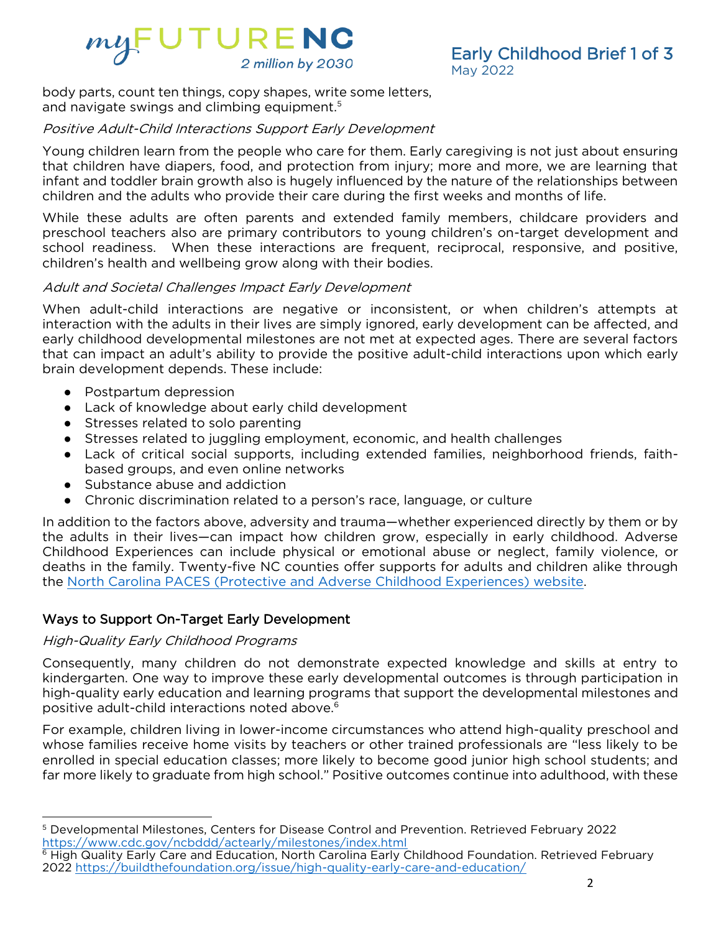

 $\frac{1}{2}$  parts, count ten things, copy shapes, while some letters, and navigate swings and climbing equipment.<sup>5</sup>

# Positive Adult-Child Interactions Support Early Development

Young children learn from the people who care for them. Early caregiving is not just about ensuring<br>that children have diapers, food, and protection from injury; more and more, we are learning that infant and toddler brain growth also is hugely influenced by the nature of the relationships between children and the adults who provide their care during the first weeks and months of life.

While these adults are often parents and extended family members, childcare providers and preschool teachers also are primary contributors to young children's on-target development and school readiness. When these interactions are frequent, reciprocal, responsive, and positive, children's health and wellbeing grow along with their bodies. children's health and wellbeing grow along with their bodies.

#### Adult and Societal Challenges Impact Early Development

When adult-child interactions are negative or inconsistent, or when children's attempts at interaction with the adults in their lives are simply ignored, early development can be affected, and early childhood developmental milestones are not met at expected ages. There are several factors that can impact an adult's ability to provide the positive adult-child interactions upon which early brain development depends. These include: brain development depends. These include:

- Postpartum depression
- Lack of knowledge about early child development
- Stresses related to solo parenting
- Stresses related to juggling employment, economic, and health challenges
- Lack of critical social supports, including extended families, neighborhood friends, faith-<br>based groups, and even online networks
- Substance abuse and addiction<br>• Chronic discrimination related to a perso
- 

● Chronic discrimination related to a person's race, language, or culture<br>In addition to the factors above, adversity and trauma—whether experienced directly by them or by the adults in their lives—can impact how children grow, especially in early childhood. Adverse Childhood Experiences can include physical or emotional abuse or neglect, family violence, or deaths in the family. Twenty-five NC counties offer supports for adults and children alike through the North Carolina PACES (Protective and Adverse Childhood Experiences) website. the [North Carolina PACES \(Protective and Adverse Childhood Experiences\) website.](https://www.pacesconnection.com/g/north-carolina-aces-connection)

#### Ways to Support On-Target Early Development Ways to Support On-Target Early Development

### High-Quality Early Childhood Programs

Consequently, many children do not demonstrate expected knowledge and skills at entry to<br>kindergarten. One way to improve these early developmental outcomes is through participation in high-quality early education and learning programs that support the developmental milestones and high-quality early education and learning programs that support the developmental milestones and positive adult-child interactions noted above.

For example, children living in lower-income circumstances who attend high-quality preschool and<br>whose families receive home visits by teachers or other trained professionals are "less likely to be enrolled in special education classes; more likely to become good junior high school students; and far more likely to graduate from high school." Positive outcomes continue into adulthood, with these far more likely to graduate from high school." Positive outcomes continue into adulthood, with these

<sup>&</sup>lt;sup>5</sup> [Developmental Milestones, Centers for Disease Control and Pr](https://www.cdc.gov/ncbddd/actearly/milestones/index.html)evention. Retrieved February 2022<br>https://www.cdc.gov/ncbddd/actearly/milestones/index.html

High Quality Early Care and Education, North Carolina Early Childhood Foundation. Retrieved February • Hig[h Quality Early Care and Education, North Carolina Early Childhood Foundation](https://buildthefoundation.org/issue/high-quality-early-care-and-education/). Retrieved February<br>2022 https://buildthefoundation.org/issue/high-quality-early-care-and-education/ 2022 https://buildthefoundation.org/issue/high-quality-early-care-and-education/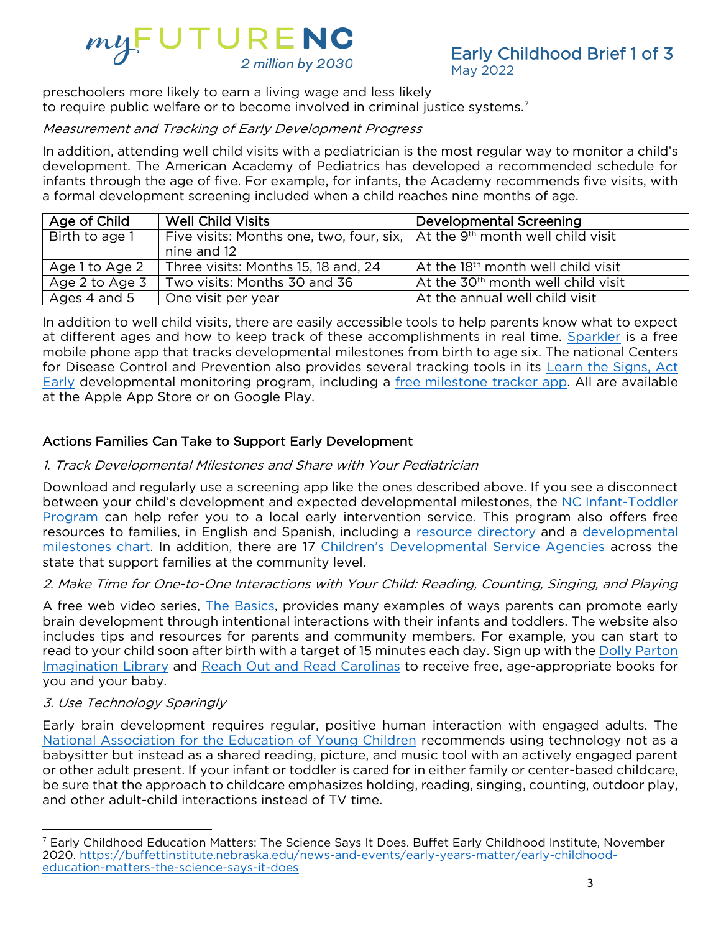# $myFUTURENC$ <br>  $2$  million by 2030

May 2022 present there more more to be called more and living the literature. to require public welfare or to become involved in criminal justice systems.<sup>7</sup>

# Measurement and Tracking of Early Development Progress

In addition, attending well child visits with a pediatrician is the most regular way to monitor a child's development. The American Academy of Pediatrics has developed a recommended schedule for infants through the age of five. For example, for infants, the Academy recommends five visits, with a formal development screening included when a child reaches nine months of age.

| Age of Child   | <b>Well Child Visits</b>                                                                                      | Developmental Screening                        |
|----------------|---------------------------------------------------------------------------------------------------------------|------------------------------------------------|
| Birth to age 1 | Five visits: Months one, two, four, six, $\vert$ At the 9 <sup>th</sup> month well child visit<br>nine and 12 |                                                |
| Age 1 to Age 2 | Three visits: Months 15, 18 and, 24                                                                           | At the 18 <sup>th</sup> month well child visit |
| Age 2 to Age 3 | Two visits: Months 30 and 36                                                                                  | At the 30 <sup>th</sup> month well child visit |
| Ages 4 and 5   | One visit per year                                                                                            | At the annual well child visit                 |

In addition to well child visits, there are easily accessible tools to help parents kn[ow what to](about:blank) expect at different ages and how to keep track of these accomplishments in real time. Sparkler is a free mobile phone app that tracks developmental milestones from birth to age six. The national Centers for Disease Control and Prevention also provides several tracking tools in its Learn the Signs, Act Early developmental monitoring program, including a free milestone tracker app. All are available at the Apple App Store or on Google Play. at the Apple App Store or on Google Play.

#### $\overline{ }$ Actions Families Can Take to Support Early Development

# 1. Track Developmental Milestones and Share with Your Pediatrician

Download and regularly use a screening app like the ones described above. If you see a disconnect<br>between your child's development and expected developmental milestones, the NC Infant-Toddler Program can help refer you to a local early intervention service. This program also offers free resources to families, in English and Spanish, including a resource directory and a developmental milestones chart. In addition, there are 17 Children's Developmental Service Agencies across the state that support families at the community level.

#### state that support families at the community level. 2. Make Time for One-to-One Interactions with Your Child: Reading, Counting, Singing, and Playing

A free web video series, *The Basics*, provides many examples of ways parents can promote early brain development through intentional interactions with their infants and toddlers. The website also includes tips and resources for parents and community members. For example, you can start to read to your child soon after birth with a target of 15 minutes each day. Sign up with the Dolly Parton Imagination Library and Reach Out and Read Carolinas to receive free, age-appropriate books for you and your baby.

#### you and your baby. 3. Use Technology Sparingly

[Early brain development requires regular, positive human](https://www.naeyc.org/resources/topics/technology-and-media/infants-and-toddlers) interaction with engaged adults. The National Association for the Education of Young Children recommends using technology not as a babysitter but instead as a shared reading, picture, and music tool with an actively engaged parent or other adult present. If your infant or toddler is cared for in either family or center-based childcare, be sure that the approach to childcare emphasizes holding, reading, singing, counting, outdoor play, and other adult-child interactions instead of TV time. and other adult-child interactions instead of TV time.

<sup>&</sup>lt;sup>7</sup> Early Childhood Education Matters: The Science Says It Does. Buffet Early Childhood Institute, November<br>2020. https://buffettinstitute.nebraska.edu/news-and-events/early-years-matter/early-childhoodeducation-matters-the-science-says-it-does education-matters-the-science-says-it-does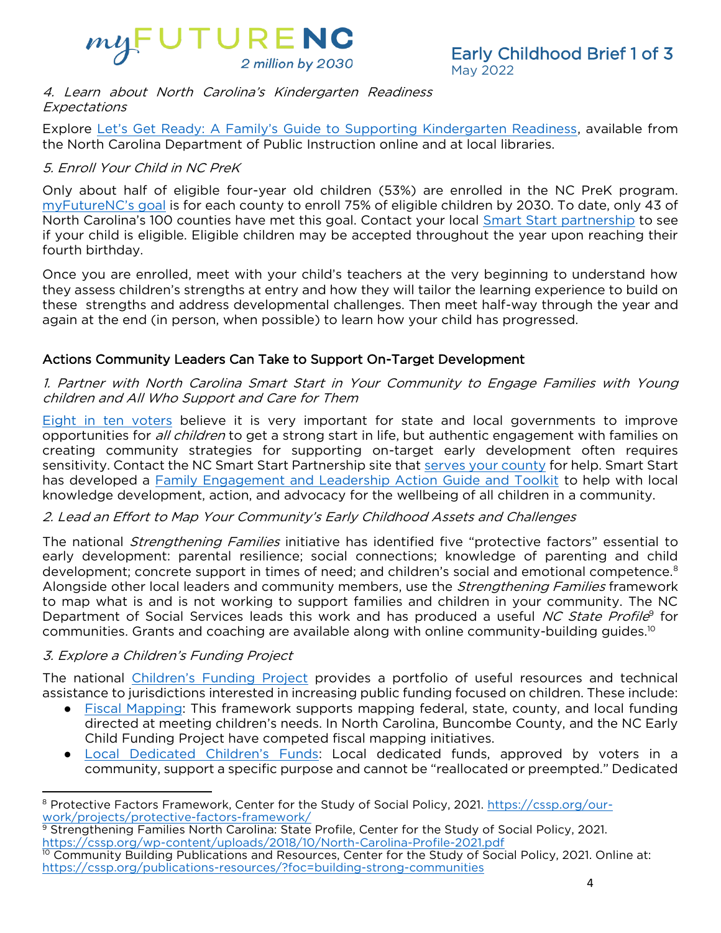

#### 4. Learn about North Carolina's Kindergarten Readiness **Expectations**

Explore [Let's Get Ready: A Family's Guide to Supporting Kindergarten Readiness](https://www.dpi.nc.gov/media/10151/open), available from<br>the North Carolina Department of Public Instruction online and at local libraries. the North Carolina Department of Public Instruction online and at local libraries.

# 5. Enroll Your Child in NC PreK

[Only about half of](https://dashboard.myfuturenc.org/academic-readiness/nc-pre-k-enrollment/) eligible four-year old children (53%) are enrolled in the NC PreK program.<br>myFutureNC's goal is for each county to enroll 75% of eligible children by 2030. To date, only 43 of North Carolina's 100 counties have met this goal. Contact your local Smart Start partnership to see if your child is eligible. Eligible children may be accepted throughout the year upon reaching their if your children eligible. Eligible children may be accepted throughout the year upon reaching their<br>fourth hirthday

fourth birthday.<br>Once you are enrolled, meet with your child's teachers at the very beginning to understand how they assess children's strengths at entry and how they will tailor the learning experience to build on these strengths and address developmental challenges. Then meet half-way through the year and again at the end (in person, when possible) to learn how your child has progressed. again at the end (in person, when possible) to learn how your child has progressed.

#### Actions Community Leaders Can Take to Support On-Target Development Actions Community Leaders Can Take to Support On-Target Development

1. Partner with North Carolina Smart Start in Your Community to Engage Families with Young children and All Who Support and Care for Them

opportunities for *all children* to get a strong start in life, but authentic engagement with families on<br>creating community strategies for supporting on-target early development often requires creating community strategies for supporting on-targ[et early developm](https://www.smartstart.org/smart-start-in-your-community/)ent often requires<br>sensitivity. Contact the NC Smart Start Partnership site that serves your county for help. Smart Start has developed a Family Engagement and Leadership Action Guide and Toolkit to help with local knowledge development, action, and advocacy for the wellbeing of all children in a community. knowledge development, action, and advocacy for the wellbeing of all children in a community.

# 2. Lead an Effort to Map Your Community's Early Childhood Assets and Challenges

The national *Strengthening Families* initiative has identified five "protective factors" essential to early development: parental resilience; social connections; knowledge of parenting and child development: concrete support in times of need; and children's social and emotional competence.<sup>8</sup> development; concrete support in times of need; and children's social and emotional competence.<br>Alongside other local leaders and community members, use the *Strengthening Families* framework<br>to man what is and is not work to map what is and is not working to support families and children in your community. The NC State Profile for<br>Communities Grants and coaching are available along with online community-building quides <sup>10</sup> for communities. Grants and coaching are available along with online community-building guides.<sup>10</sup>

# 3. Explore a Children's Funding Project

The national [Children's Funding Project](https://www.childrensfundingproject.org/) provides a portfolio of useful resources and technical<br>assistance to jurisdictions interested in increasing public funding focused on children. These include:

- Fiscal Mapping: This framework supports mapping federal, state, county, and local funding<br>directed at meeting children's needs. In North Carolina. Buncombe County, and the NC Farly directed at meeting children's needs. In North Carolina, Buncombe County, and the NC Early Child Funding Project have competed fiscal mapping initiatives.
	- Local Dedicated Children's Funds: Local dedicated funds, approved by voters in a<br>community support a specific purpose and cannot be "reallocated or preempted" Dedicated community, support a specific purpose and cannot be "reallocated or preempted." Dedicated

<sup>&</sup>lt;sup>8</sup> [Protective Factors Framework, Center for the](about:blank) Study of Social Policy, 2021. https://cssp.org/our-<br>work/projects/protective-factors-framework/

Strengthening Families North Carolina: State Profile, Center for the Study of Social Policy, 2021. https://cssp.org/wp-content/uploads/2018/10/North-Carolina-Profile-2021.pdf

Community Building Publications and Resources, Center for the Study of Social Policy, 2021. Online at: https://cssp.org/publications-resources/?foc=building-strong-communities https://cssp.org/publications-resources/?foc=building-strong-communities-